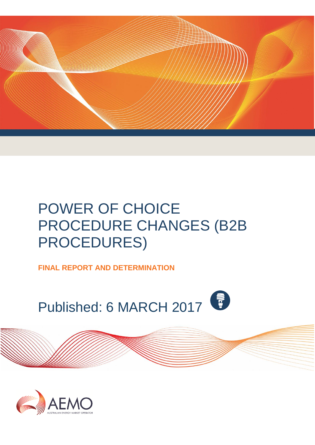

# POWER OF CHOICE PROCEDURE CHANGES (B2B PROCEDURES)

**FINAL REPORT AND DETERMINATION** 

Published: 6 MARCH 2017

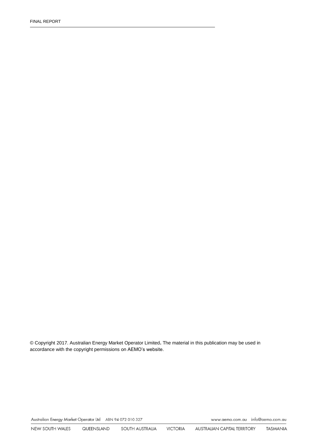© Copyright 2017. Australian Energy Market Operator Limited**.** The material in this publication may be used in accordance with the [copyright permissions](http://www.aemo.com.au/en/About-AEMO/Copyright-Permissions) on AEMO's website.

Australian Energy Market Operator Ltd ABN 94 072 010 327

www.aemo.com.au info@aemo.com.au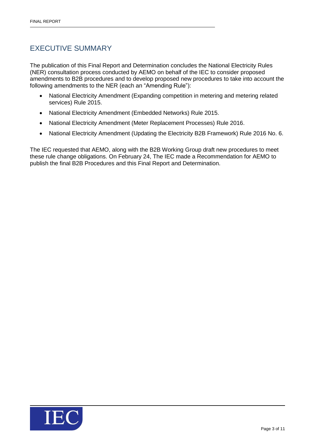### <span id="page-2-0"></span>EXECUTIVE SUMMARY

The publication of this Final Report and Determination concludes the National Electricity Rules (NER) consultation process conducted by AEMO on behalf of the IEC to consider proposed amendments to B2B procedures and to develop proposed new procedures to take into account the following amendments to the NER (each an "Amending Rule"):

- National Electricity Amendment (Expanding competition in metering and metering related services) Rule 2015.
- National Electricity Amendment (Embedded Networks) Rule 2015.
- National Electricity Amendment (Meter Replacement Processes) Rule 2016.
- National Electricity Amendment (Updating the Electricity B2B Framework) Rule 2016 No. 6.

The IEC requested that AEMO, along with the B2B Working Group draft new procedures to meet these rule change obligations. On February 24, The IEC made a Recommendation for AEMO to publish the final B2B Procedures and this Final Report and Determination.

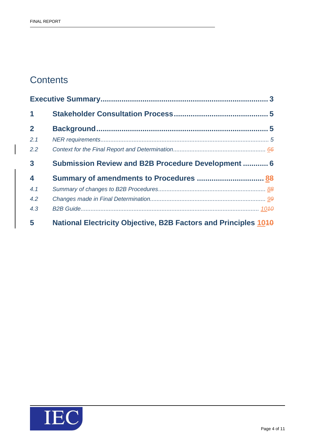## **Contents**

| 1                       |                                                                        |  |
|-------------------------|------------------------------------------------------------------------|--|
| $\overline{2}$          |                                                                        |  |
| 2.1                     |                                                                        |  |
| 2.2                     |                                                                        |  |
| $\mathbf{3}$            | Submission Review and B2B Procedure Development  6                     |  |
| $\overline{\mathbf{4}}$ |                                                                        |  |
| 4.1                     |                                                                        |  |
| 4.2                     |                                                                        |  |
| 4.3                     |                                                                        |  |
| 5                       | <b>National Electricity Objective, B2B Factors and Principles 1040</b> |  |

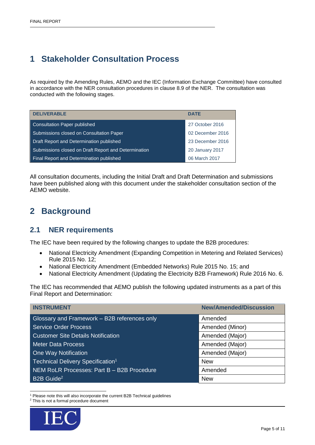## <span id="page-4-0"></span>**1 Stakeholder Consultation Process**

As required by the Amending Rules, AEMO and the IEC (Information Exchange Committee) have consulted in accordance with the NER consultation procedures in clause 8.9 of the NER. The consultation was conducted with the following stages.

| <b>DELIVERABLE</b>                                   | <b>DATE</b>            |  |
|------------------------------------------------------|------------------------|--|
| Consultation Paper published                         | 27 October 2016        |  |
| Submissions closed on Consultation Paper             | 02 December 2016       |  |
| Draft Report and Determination published             | 23 December 2016       |  |
| Submissions closed on Draft Report and Determination | <b>20 January 2017</b> |  |
| <b>Final Report and Determination published</b>      | 06 March 2017          |  |

All consultation documents, including the Initial Draft and Draft Determination and submissions have been published along with this document under the stakeholder consultation section of the AEMO website.

## <span id="page-4-1"></span>**2 Background**

#### <span id="page-4-2"></span>**2.1 NER requirements**

The IEC have been required by the following changes to update the B2B procedures:

- National Electricity Amendment (Expanding Competition in Metering and Related Services) Rule 2015 No. 12;
- National Electricity Amendment (Embedded Networks) Rule 2015 No. 15; and
- National Electricity Amendment (Updating the Electricity B2B Framework) Rule 2016 No. 6.

The IEC has recommended that AEMO publish the following updated instruments as a part of this Final Report and Determination:

| <b>INSTRUMENT</b>                             | <b>New/Amended/Discussion</b> |  |
|-----------------------------------------------|-------------------------------|--|
| Glossary and Framework - B2B references only  | Amended                       |  |
| <b>Service Order Process</b>                  | Amended (Minor)               |  |
| <b>Customer Site Details Notification</b>     | Amended (Major)               |  |
| Meter Data Process                            | Amended (Major)               |  |
| One Way Notification                          | Amended (Major)               |  |
| Technical Delivery Specification <sup>1</sup> | <b>New</b>                    |  |
| NEM RoLR Processes: Part B - B2B Procedure    | Amended                       |  |
| B2B Guide <sup>2</sup>                        | <b>New</b>                    |  |

<sup>1</sup> <sup>1</sup> Please note this will also incorporate the current B2B Technical guidelines

<sup>2</sup> This is not a formal procedure document

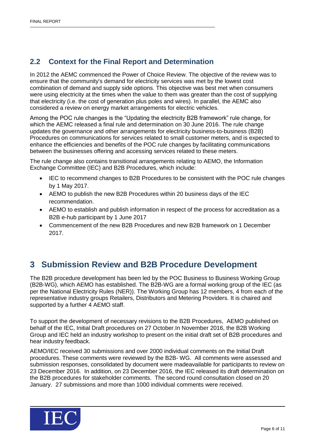### <span id="page-5-0"></span>**2.2 Context for the Final Report and Determination**

In 2012 the AEMC commenced the Power of Choice Review. The objective of the review was to ensure that the community's demand for electricity services was met by the lowest cost combination of demand and supply side options. This objective was best met when consumers were using electricity at the times when the value to them was greater than the cost of supplying that electricity (i.e. the cost of generation plus poles and wires). In parallel, the AEMC also considered a review on energy market arrangements for electric vehicles.

Among the POC rule changes is the "Updating the electricity B2B framework" rule change, for which the AEMC released a final rule and determination on 30 June 2016. The rule change updates the governance and other arrangements for electricity business-to-business (B2B) Procedures on communications for services related to small customer meters, and is expected to enhance the efficiencies and benefits of the POC rule changes by facilitating communications between the businesses offering and accessing services related to these meters.

The rule change also contains transitional arrangements relating to AEMO, the Information Exchange Committee (IEC) and B2B Procedures, which include:

- IEC to recommend changes to B2B Procedures to be consistent with the POC rule changes by 1 May 2017.
- AEMO to publish the new B2B Procedures within 20 business days of the IEC recommendation.
- AEMO to establish and publish information in respect of the process for accreditation as a B2B e-hub participant by 1 June 2017
- Commencement of the new B2B Procedures and new B2B framework on 1 December 2017.

## <span id="page-5-1"></span>**3 Submission Review and B2B Procedure Development**

The B2B procedure development has been led by the POC Business to Business Working Group (B2B-WG), which AEMO has established. The B2B-WG are a formal working group of the IEC (as per the National Electricity Rules (NER)). The Working Group has 12 members, 4 from each of the representative industry groups Retailers, Distributors and Metering Providers. It is chaired and supported by a further 4 AEMO staff.

To support the development of necessary revisions to the B2B Procedures, AEMO published on behalf of the IEC, Initial Draft procedures on 27 October.In November 2016, the B2B Working Group and IEC held an industry workshop to present on the initial draft set of B2B procedures and hear industry feedback.

AEMO/IEC received 30 submissions and over 2000 individual comments on the Initial Draft procedures. These comments were reviewed by the B2B- WG. All comments were assessed and submission responses, consolidated by document were madeavailable for participants to review on 23 December 2016. In addition, on 23 December 2016, the IEC released its draft determination on the B2B procedures for stakeholder comments. The second round consultation closed on 20 January. 27 submissions and more than 1000 individual comments were received.

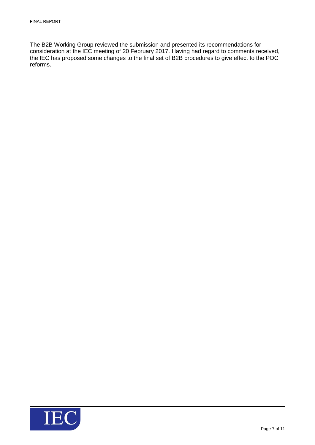The B2B Working Group reviewed the submission and presented its recommendations for consideration at the IEC meeting of 20 February 2017. Having had regard to comments received, the IEC has proposed some changes to the final set of B2B procedures to give effect to the POC reforms.

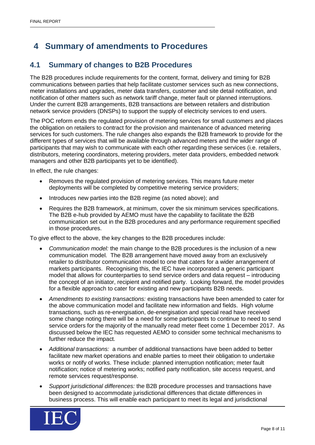## <span id="page-7-0"></span>**4 Summary of amendments to Procedures**

#### <span id="page-7-1"></span>**4.1 Summary of changes to B2B Procedures**

The B2B procedures include requirements for the content, format, delivery and timing for B2B communications between parties that help facilitate customer services such as new connections, meter installations and upgrades, meter data transfers, customer and site detail notification, and notification of other matters such as network tariff change, meter fault or planned interruptions. Under the current B2B arrangements, B2B transactions are between retailers and distribution network service providers (DNSPs) to support the supply of electricity services to end users.

The POC reform ends the regulated provision of metering services for small customers and places the obligation on retailers to contract for the provision and maintenance of advanced metering services for such customers. The rule changes also expands the B2B framework to provide for the different types of services that will be available through advanced meters and the wider range of participants that may wish to communicate with each other regarding these services (i.e. retailers, distributors, metering coordinators, metering providers, meter data providers, embedded network managers and other B2B participants yet to be identified).

In effect, the rule changes:

- Removes the regulated provision of metering services. This means future meter deployments will be completed by competitive metering service providers;
- Introduces new parties into the B2B regime (as noted above); and
- Requires the B2B framework, at minimum, cover the six minimum services specifications. The B2B e-hub provided by AEMO must have the capability to facilitate the B2B communication set out in the B2B procedures and any performance requirement specified in those procedures.

To give effect to the above, the key changes to the B2B procedures include:

- *Communication model:* the main change to the B2B procedures is the inclusion of a new communication model. The B2B arrangement have moved away from an exclusively retailer to distributor communication model to one that caters for a wider arrangement of markets participants. Recognising this, the IEC have incorporated a generic participant model that allows for counterparties to send service orders and data request – introducing the concept of an initiator, recipient and notified party. Looking forward, the model provides for a flexible approach to cater for existing and new participants B2B needs.
- *Amendments to existing transactions:* existing transactions have been amended to cater for the above communication model and facilitate new information and fields. High volume transactions, such as re-energisation, de-energisation and special read have received some change noting there will be a need for some participants to continue to need to send service orders for the majority of the manually read meter fleet come 1 December 2017. As discussed below the IEC has requested AEMO to consider some technical mechanisms to further reduce the impact.
- *Additional transactions:* a number of additional transactions have been added to better facilitate new market operations and enable parties to meet their obligation to undertake works or notify of works. These include: planned interruption notification; meter fault notification; notice of metering works; notified party notification, site access request, and remote services request/response.
- *Support jurisdictional differences:* the B2B procedure processes and transactions have been designed to accommodate jurisdictional differences that dictate differences in business process. This will enable each participant to meet its legal and jurisdictional

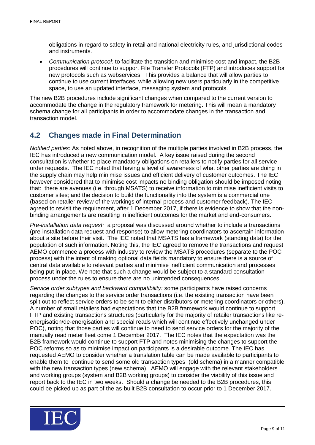obligations in regard to safety in retail and national electricity rules, and jurisdictional codes and instruments.

 *Communication protocol:* to facilitate the transition and minimise cost and impact, the B2B procedures will continue to support File Transfer Protocols (FTP) and introduces support for new protocols such as webservices. This provides a balance that will allow parties to continue to use current interfaces, while allowing new users particularly in the competitive space, to use an updated interface, messaging system and protocols.

The new B2B procedures include significant changes when compared to the current version to accommodate the change in the regulatory framework for metering. This will mean a mandatory schema change for all participants in order to accommodate changes in the transaction and transaction model.

#### <span id="page-8-0"></span>**4.2 Changes made in Final Determination**

*Notified parties*: As noted above, in recognition of the multiple parties involved in B2B process, the IEC has introduced a new communication model. A key issue raised during the second consultation is whether to place mandatory obligations on retailers to notify parties for all service order requests. The IEC noted that having a level of awareness of what other parties are doing in the supply chain may help minimise issues and efficient delivery of customer outcomes. The IEC however considered that to minimise cost impacts no binding obligation should be imposed noting that: there are avenues (i.e. through MSATS) to receive information to minimise inefficient visits to customer sites; and the decision to build the functionality into the system is a commercial one (based on retailer review of the workings of internal process and customer feedback). The IEC agreed to revisit the requirement, after 1 December 2017, if there is evidence to show that the nonbinding arrangements are resulting in inefficient outcomes for the market and end-consumers.

*Pre-installation data request:* a proposal was discussed around whether to include a transactions (pre-installation data request and response) to allow metering coordinators to ascertain information about a site before their visit. The IEC noted that MSATS has a framework (standing data) for the population of such information. Noting this, the IEC agreed to remove the transactions and request AEMO commence a process with industry to review the MSATS procedures (separate to the POC process) with the intent of making optional data fields mandatory to ensure there is a source of central data available to relevant parties and minimise inefficient communication and processes being put in place. We note that such a change would be subject to a standard consultation process under the rules to ensure there are no unintended consequences.

*Service order subtypes and backward compatibility:* some participants have raised concerns regarding the changes to the service order transactions (i.e. the existing transaction have been split out to reflect service orders to be sent to either distributors or metering coordinators or others). A number of small retailers had expectations that the B2B framework would continue to support FTP and existing transactions structures (particularly for the majority of retailer transactions like reenergisation/de-energisation and special reads which will continue effectively unchanged under POC), noting that those parties will continue to need to send service orders for the majority of the manually read meter fleet come 1 December 2017. The IEC notes that the expectation was the B2B framework would continue to support FTP and notes minimising the changes to support the POC reforms so as to minimise impact on participants is a desirable outcome. The IEC has requested AEMO to consider whether a translation table can be made available to participants to enable them to continue to send some old transaction types (old schema) in a manner compatible with the new transaction types (new schema). AEMO will engage with the relevant stakeholders and working groups (system and B2B working groups) to consider the viability of this issue and report back to the IEC in two weeks. Should a change be needed to the B2B procedures, this could be picked up as part of the as-built B2B consultation to occur prior to 1 December 2017.

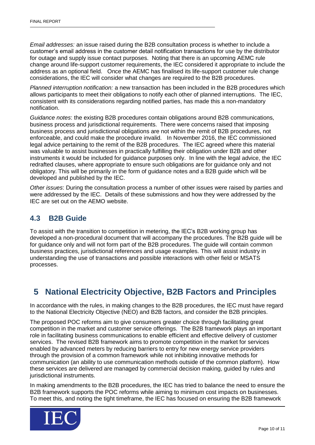*Email addresses:* an issue raised during the B2B consultation process is whether to include a customer's email address in the customer detail notification transactions for use by the distributor for outage and supply issue contact purposes. Noting that there is an upcoming AEMC rule change around life-support customer requirements, the IEC considered it appropriate to include the address as an optional field. Once the AEMC has finalised its life-support customer rule change considerations, the IEC will consider what changes are required to the B2B procedures.

*Planned interruption notification:* a new transaction has been included in the B2B procedures which allows participants to meet their obligations to notify each other of planned interruptions.The IEC, consistent with its considerations regarding notified parties, has made this a non-mandatory notification.

*Guidance notes*: the existing B2B procedures contain obligations around B2B communications, business process and jurisdictional requirements. There were concerns raised that imposing business process and jurisdictional obligations are not within the remit of B2B procedures, not enforceable, and could make the procedure invalid. In November 2016, the IEC commissioned legal advice pertaining to the remit of the B2B procedures. The IEC agreed where this material was valuable to assist businesses in practically fulfilling their obligation under B2B and other instruments it would be included for guidance purposes only. In line with the legal advice, the IEC redrafted clauses, where appropriate to ensure such obligations are for guidance only and not obligatory. This will be primarily in the form of guidance notes and a B2B guide which will be developed and published by the IEC.

*Other issues*: During the consultation process a number of other issues were raised by parties and were addressed by the IEC. Details of these submissions and how they were addressed by the IEC are set out on the AEMO website.

#### <span id="page-9-0"></span>**4.3 B2B Guide**

To assist with the transition to competition in metering, the IEC's B2B working group has developed a non-procedural document that will accompany the procedures. The B2B guide will be for guidance only and will not form part of the B2B procedures. The guide will contain common business practices, jurisdictional references and usage examples. This will assist industry in understanding the use of transactions and possible interactions with other field or MSATS processes.

## <span id="page-9-1"></span>**5 National Electricity Objective, B2B Factors and Principles**

In accordance with the rules, in making changes to the B2B procedures, the IEC must have regard to the National Electricity Objective (NEO) and B2B factors, and consider the B2B principles.

The proposed POC reforms aim to give consumers greater choice through facilitating great competition in the market and customer service offerings. The B2B framework plays an important role in facilitating business communications to enable efficient and effective delivery of customer services. The revised B2B framework aims to promote competition in the market for services enabled by advanced meters by reducing barriers to entry for new energy service providers through the provision of a common framework while not inhibiting innovative methods for communication (an ability to use communication methods outside of the common platform). How these services are delivered are managed by commercial decision making, guided by rules and jurisdictional instruments.

In making amendments to the B2B procedures, the IEC has tried to balance the need to ensure the B2B framework supports the POC reforms while aiming to minimum cost impacts on businesses. To meet this, and noting the tight timeframe, the IEC has focused on ensuring the B2B framework